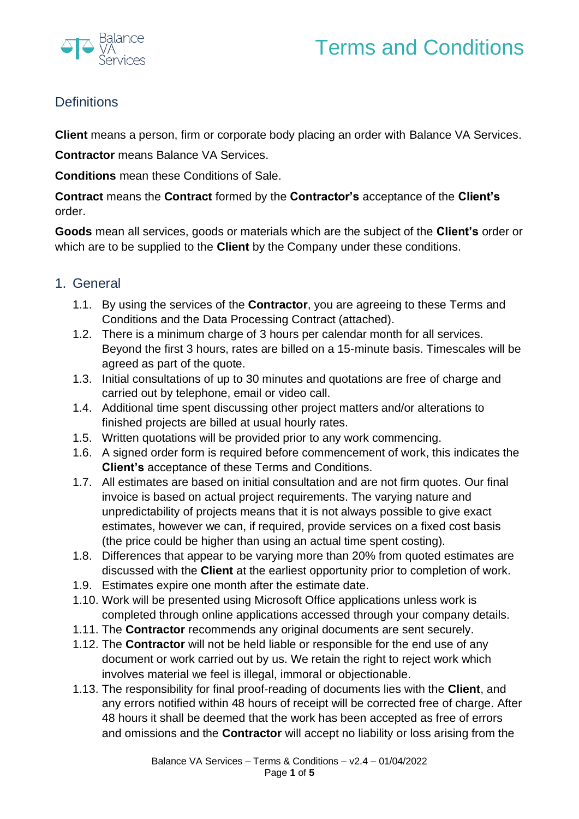



## **Definitions**

**Client** means a person, firm or corporate body placing an order with Balance VA Services.

**Contractor** means Balance VA Services.

**Conditions** mean these Conditions of Sale.

**Contract** means the **Contract** formed by the **Contractor's** acceptance of the **Client's** order.

**Goods** mean all services, goods or materials which are the subject of the **Client's** order or which are to be supplied to the **Client** by the Company under these conditions.

## 1. General

- 1.1. By using the services of the **Contractor**, you are agreeing to these Terms and Conditions and the Data Processing Contract (attached).
- 1.2. There is a minimum charge of 3 hours per calendar month for all services. Beyond the first 3 hours, rates are billed on a 15-minute basis. Timescales will be agreed as part of the quote.
- 1.3. Initial consultations of up to 30 minutes and quotations are free of charge and carried out by telephone, email or video call.
- 1.4. Additional time spent discussing other project matters and/or alterations to finished projects are billed at usual hourly rates.
- 1.5. Written quotations will be provided prior to any work commencing.
- 1.6. A signed order form is required before commencement of work, this indicates the **Client's** acceptance of these Terms and Conditions.
- 1.7. All estimates are based on initial consultation and are not firm quotes. Our final invoice is based on actual project requirements. The varying nature and unpredictability of projects means that it is not always possible to give exact estimates, however we can, if required, provide services on a fixed cost basis (the price could be higher than using an actual time spent costing).
- 1.8. Differences that appear to be varying more than 20% from quoted estimates are discussed with the **Client** at the earliest opportunity prior to completion of work.
- 1.9. Estimates expire one month after the estimate date.
- 1.10. Work will be presented using Microsoft Office applications unless work is completed through online applications accessed through your company details.
- 1.11. The **Contractor** recommends any original documents are sent securely.
- 1.12. The **Contractor** will not be held liable or responsible for the end use of any document or work carried out by us. We retain the right to reject work which involves material we feel is illegal, immoral or objectionable.
- 1.13. The responsibility for final proof-reading of documents lies with the **Client**, and any errors notified within 48 hours of receipt will be corrected free of charge. After 48 hours it shall be deemed that the work has been accepted as free of errors and omissions and the **Contractor** will accept no liability or loss arising from the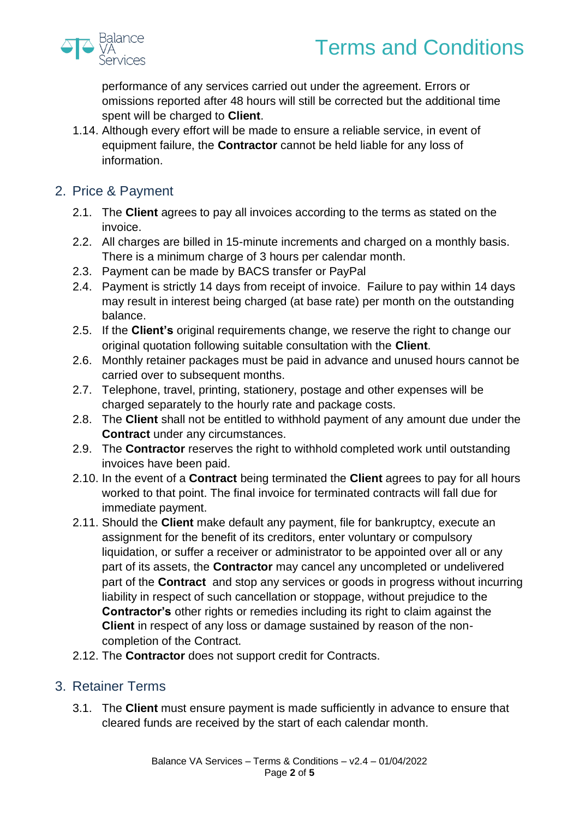

# Terms and Conditions

performance of any services carried out under the agreement. Errors or omissions reported after 48 hours will still be corrected but the additional time spent will be charged to **Client**.

- 1.14. Although every effort will be made to ensure a reliable service, in event of equipment failure, the **Contractor** cannot be held liable for any loss of information.
- 2. Price & Payment
	- 2.1. The **Client** agrees to pay all invoices according to the terms as stated on the invoice.
	- 2.2. All charges are billed in 15-minute increments and charged on a monthly basis. There is a minimum charge of 3 hours per calendar month.
	- 2.3. Payment can be made by BACS transfer or PayPal
	- 2.4. Payment is strictly 14 days from receipt of invoice. Failure to pay within 14 days may result in interest being charged (at base rate) per month on the outstanding balance.
	- 2.5. If the **Client's** original requirements change, we reserve the right to change our original quotation following suitable consultation with the **Client**.
	- 2.6. Monthly retainer packages must be paid in advance and unused hours cannot be carried over to subsequent months.
	- 2.7. Telephone, travel, printing, stationery, postage and other expenses will be charged separately to the hourly rate and package costs.
	- 2.8. The **Client** shall not be entitled to withhold payment of any amount due under the **Contract** under any circumstances.
	- 2.9. The **Contractor** reserves the right to withhold completed work until outstanding invoices have been paid.
	- 2.10. In the event of a **Contract** being terminated the **Client** agrees to pay for all hours worked to that point. The final invoice for terminated contracts will fall due for immediate payment.
	- 2.11. Should the **Client** make default any payment, file for bankruptcy, execute an assignment for the benefit of its creditors, enter voluntary or compulsory liquidation, or suffer a receiver or administrator to be appointed over all or any part of its assets, the **Contractor** may cancel any uncompleted or undelivered part of the **Contract** and stop any services or goods in progress without incurring liability in respect of such cancellation or stoppage, without prejudice to the **Contractor's** other rights or remedies including its right to claim against the **Client** in respect of any loss or damage sustained by reason of the noncompletion of the Contract.
	- 2.12. The **Contractor** does not support credit for Contracts.

## 3. Retainer Terms

3.1. The **Client** must ensure payment is made sufficiently in advance to ensure that cleared funds are received by the start of each calendar month.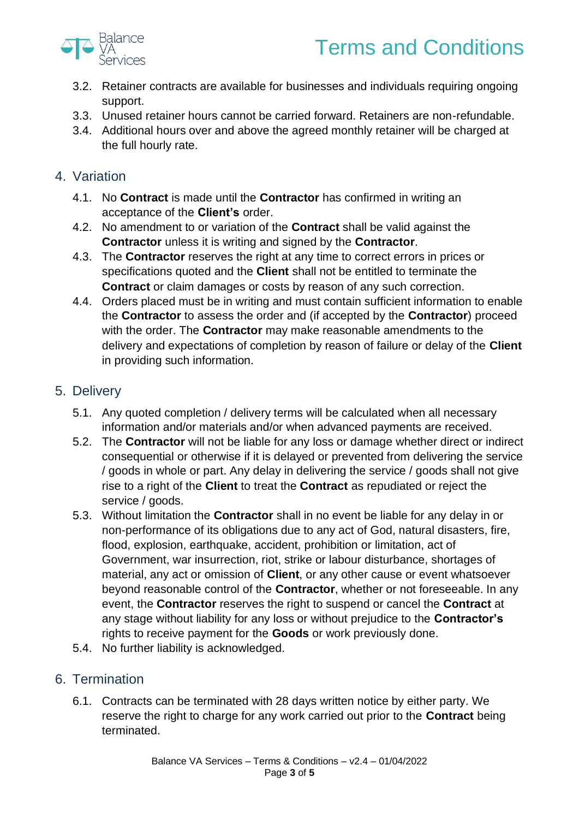



- 3.2. Retainer contracts are available for businesses and individuals requiring ongoing support.
- 3.3. Unused retainer hours cannot be carried forward. Retainers are non-refundable.
- 3.4. Additional hours over and above the agreed monthly retainer will be charged at the full hourly rate.

### 4. Variation

- 4.1. No **Contract** is made until the **Contractor** has confirmed in writing an acceptance of the **Client's** order.
- 4.2. No amendment to or variation of the **Contract** shall be valid against the **Contractor** unless it is writing and signed by the **Contractor**.
- 4.3. The **Contractor** reserves the right at any time to correct errors in prices or specifications quoted and the **Client** shall not be entitled to terminate the **Contract** or claim damages or costs by reason of any such correction.
- 4.4. Orders placed must be in writing and must contain sufficient information to enable the **Contractor** to assess the order and (if accepted by the **Contractor**) proceed with the order. The **Contractor** may make reasonable amendments to the delivery and expectations of completion by reason of failure or delay of the **Client** in providing such information.

## 5. Delivery

- 5.1. Any quoted completion / delivery terms will be calculated when all necessary information and/or materials and/or when advanced payments are received.
- 5.2. The **Contractor** will not be liable for any loss or damage whether direct or indirect consequential or otherwise if it is delayed or prevented from delivering the service / goods in whole or part. Any delay in delivering the service / goods shall not give rise to a right of the **Client** to treat the **Contract** as repudiated or reject the service / goods.
- 5.3. Without limitation the **Contractor** shall in no event be liable for any delay in or non-performance of its obligations due to any act of God, natural disasters, fire, flood, explosion, earthquake, accident, prohibition or limitation, act of Government, war insurrection, riot, strike or labour disturbance, shortages of material, any act or omission of **Client**, or any other cause or event whatsoever beyond reasonable control of the **Contractor**, whether or not foreseeable. In any event, the **Contractor** reserves the right to suspend or cancel the **Contract** at any stage without liability for any loss or without prejudice to the **Contractor's** rights to receive payment for the **Goods** or work previously done.
- 5.4. No further liability is acknowledged.

## 6. Termination

6.1. Contracts can be terminated with 28 days written notice by either party. We reserve the right to charge for any work carried out prior to the **Contract** being terminated.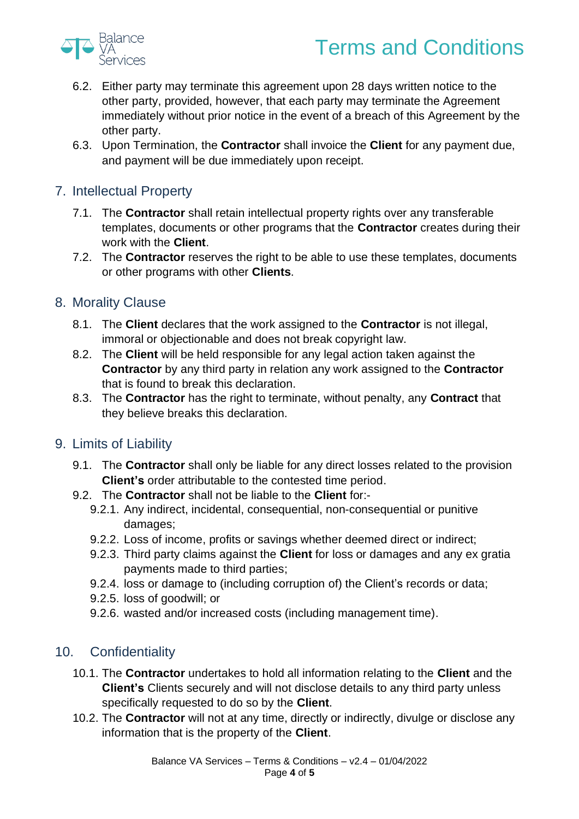



- 6.2. Either party may terminate this agreement upon 28 days written notice to the other party, provided, however, that each party may terminate the Agreement immediately without prior notice in the event of a breach of this Agreement by the other party.
- 6.3. Upon Termination, the **Contractor** shall invoice the **Client** for any payment due, and payment will be due immediately upon receipt.

## 7. Intellectual Property

- 7.1. The **Contractor** shall retain intellectual property rights over any transferable templates, documents or other programs that the **Contractor** creates during their work with the **Client**.
- 7.2. The **Contractor** reserves the right to be able to use these templates, documents or other programs with other **Clients**.

## 8. Morality Clause

- 8.1. The **Client** declares that the work assigned to the **Contractor** is not illegal, immoral or objectionable and does not break copyright law.
- 8.2. The **Client** will be held responsible for any legal action taken against the **Contractor** by any third party in relation any work assigned to the **Contractor** that is found to break this declaration.
- 8.3. The **Contractor** has the right to terminate, without penalty, any **Contract** that they believe breaks this declaration.

#### 9. Limits of Liability

- 9.1. The **Contractor** shall only be liable for any direct losses related to the provision **Client's** order attributable to the contested time period.
- 9.2. The **Contractor** shall not be liable to the **Client** for:-
	- 9.2.1. Any indirect, incidental, consequential, non-consequential or punitive damages;
	- 9.2.2. Loss of income, profits or savings whether deemed direct or indirect;
	- 9.2.3. Third party claims against the **Client** for loss or damages and any ex gratia payments made to third parties;
	- 9.2.4. loss or damage to (including corruption of) the Client's records or data;
	- 9.2.5. loss of goodwill; or
	- 9.2.6. wasted and/or increased costs (including management time).

## 10. Confidentiality

- 10.1. The **Contractor** undertakes to hold all information relating to the **Client** and the **Client's** Clients securely and will not disclose details to any third party unless specifically requested to do so by the **Client**.
- 10.2. The **Contractor** will not at any time, directly or indirectly, divulge or disclose any information that is the property of the **Client**.